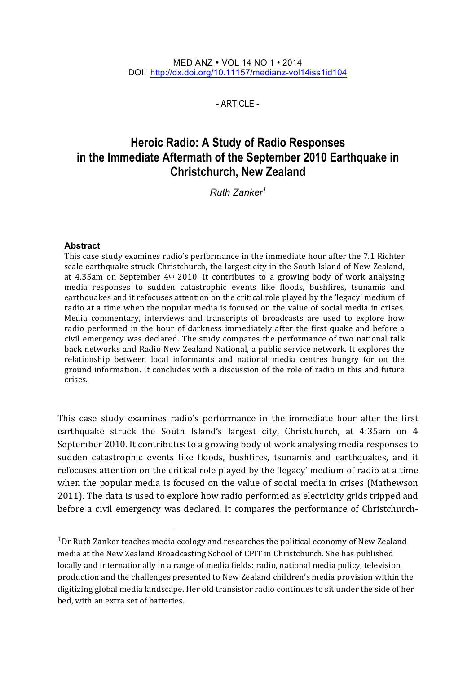#### MEDIANZ VOL 14 NO 1 • 2014 DOI: http://dx.doi.org/10.11157/medianz-vol14iss1id104

 $-$  ARTICLE $-$ 

# **Heroic Radio: A Study of Radio Responses in the Immediate Aftermath of the September 2010 Earthquake in Christchurch, New Zealand**

*Ruth Zanker<sup>1</sup>*

#### **Abstract**

This case study examines radio's performance in the immediate hour after the 7.1 Richter scale earthquake struck Christchurch, the largest city in the South Island of New Zealand, at 4.35am on September  $4<sup>th</sup>$  2010. It contributes to a growing body of work analysing media responses to sudden catastrophic events like floods, bushfires, tsunamis and earthquakes and it refocuses attention on the critical role played by the 'legacy' medium of radio at a time when the popular media is focused on the value of social media in crises. Media commentary, interviews and transcripts of broadcasts are used to explore how radio performed in the hour of darkness immediately after the first quake and before a civil emergency was declared. The study compares the performance of two national talk back networks and Radio New Zealand National, a public service network. It explores the relationship between local informants and national media centres hungry for on the ground information. It concludes with a discussion of the role of radio in this and future crises.

This case study examines radio's performance in the immediate hour after the first earthquake struck the South Island's largest city, Christchurch, at 4:35am on 4 September 2010. It contributes to a growing body of work analysing media responses to sudden catastrophic events like floods, bushfires, tsunamis and earthquakes, and it refocuses attention on the critical role played by the 'legacy' medium of radio at a time when the popular media is focused on the value of social media in crises (Mathewson 2011). The data is used to explore how radio performed as electricity grids tripped and before a civil emergency was declared. It compares the performance of Christchurch-

 $1Dr$  Ruth Zanker teaches media ecology and researches the political economy of New Zealand media at the New Zealand Broadcasting School of CPIT in Christchurch. She has published locally and internationally in a range of media fields: radio, national media policy, television production and the challenges presented to New Zealand children's media provision within the digitizing global media landscape. Her old transistor radio continues to sit under the side of her bed, with an extra set of batteries.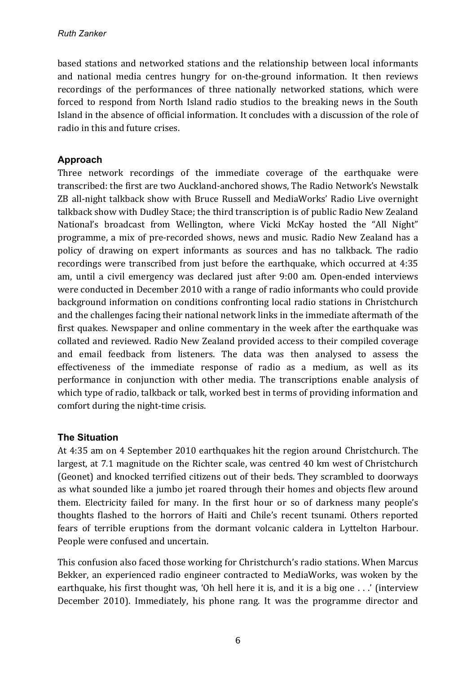based stations and networked stations and the relationship between local informants and national media centres hungry for on-the-ground information. It then reviews recordings of the performances of three nationally networked stations, which were forced to respond from North Island radio studios to the breaking news in the South Island in the absence of official information. It concludes with a discussion of the role of radio in this and future crises.

## **Approach**

Three network recordings of the immediate coverage of the earthquake were transcribed: the first are two Auckland-anchored shows, The Radio Network's Newstalk ZB all-night talkback show with Bruce Russell and MediaWorks' Radio Live overnight talkback show with Dudley Stace; the third transcription is of public Radio New Zealand National's broadcast from Wellington, where Vicki McKay hosted the "All Night" programme, a mix of pre-recorded shows, news and music. Radio New Zealand has a policy of drawing on expert informants as sources and has no talkback. The radio recordings were transcribed from just before the earthquake, which occurred at 4:35 am, until a civil emergency was declared just after 9:00 am. Open-ended interviews were conducted in December 2010 with a range of radio informants who could provide background information on conditions confronting local radio stations in Christchurch and the challenges facing their national network links in the immediate aftermath of the first quakes. Newspaper and online commentary in the week after the earthquake was collated and reviewed. Radio New Zealand provided access to their compiled coverage and email feedback from listeners. The data was then analysed to assess the effectiveness of the immediate response of radio as a medium, as well as its performance in conjunction with other media. The transcriptions enable analysis of which type of radio, talkback or talk, worked best in terms of providing information and comfort during the night-time crisis.

### **The Situation**

At 4:35 am on 4 September 2010 earthquakes hit the region around Christchurch. The largest, at 7.1 magnitude on the Richter scale, was centred 40 km west of Christchurch (Geonet) and knocked terrified citizens out of their beds. They scrambled to doorways as what sounded like a jumbo jet roared through their homes and objects flew around them. Electricity failed for many. In the first hour or so of darkness many people's thoughts flashed to the horrors of Haiti and Chile's recent tsunami. Others reported fears of terrible eruptions from the dormant volcanic caldera in Lyttelton Harbour. People were confused and uncertain.

This confusion also faced those working for Christchurch's radio stations. When Marcus Bekker, an experienced radio engineer contracted to MediaWorks, was woken by the earthquake, his first thought was, 'Oh hell here it is, and it is a big one  $\ldots$ ' (interview December 2010). Immediately, his phone rang. It was the programme director and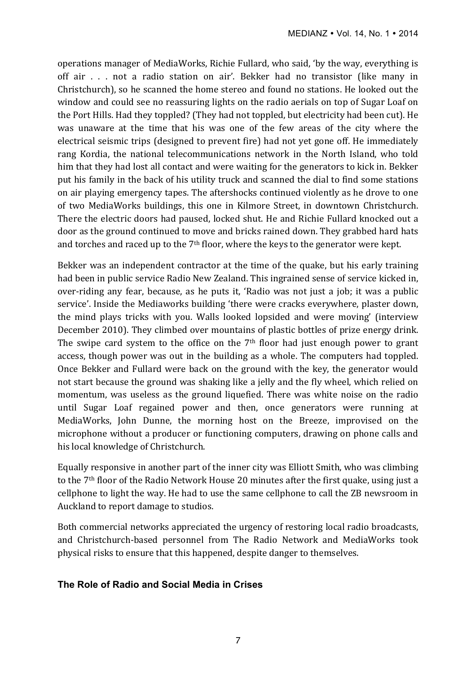operations manager of MediaWorks, Richie Fullard, who said, 'by the way, everything is off air . . . not a radio station on air'. Bekker had no transistor (like many in Christchurch), so he scanned the home stereo and found no stations. He looked out the window and could see no reassuring lights on the radio aerials on top of Sugar Loaf on the Port Hills. Had they toppled? (They had not toppled, but electricity had been cut). He was unaware at the time that his was one of the few areas of the city where the electrical seismic trips (designed to prevent fire) had not yet gone off. He immediately rang Kordia, the national telecommunications network in the North Island, who told him that they had lost all contact and were waiting for the generators to kick in. Bekker put his family in the back of his utility truck and scanned the dial to find some stations on air playing emergency tapes. The aftershocks continued violently as he drove to one of two MediaWorks buildings, this one in Kilmore Street, in downtown Christchurch. There the electric doors had paused, locked shut. He and Richie Fullard knocked out a door as the ground continued to move and bricks rained down. They grabbed hard hats and torches and raced up to the  $7<sup>th</sup>$  floor, where the keys to the generator were kept.

Bekker was an independent contractor at the time of the quake, but his early training had been in public service Radio New Zealand. This ingrained sense of service kicked in, over-riding any fear, because, as he puts it, 'Radio was not just a job; it was a public service'. Inside the Mediaworks building 'there were cracks everywhere, plaster down, the mind plays tricks with you. Walls looked lopsided and were moving' (interview December 2010). They climbed over mountains of plastic bottles of prize energy drink. The swipe card system to the office on the  $7<sup>th</sup>$  floor had just enough power to grant access, though power was out in the building as a whole. The computers had toppled. Once Bekker and Fullard were back on the ground with the key, the generator would not start because the ground was shaking like a jelly and the fly wheel, which relied on momentum, was useless as the ground liquefied. There was white noise on the radio until Sugar Loaf regained power and then, once generators were running at MediaWorks, John Dunne, the morning host on the Breeze, improvised on the microphone without a producer or functioning computers, drawing on phone calls and his local knowledge of Christchurch.

Equally responsive in another part of the inner city was Elliott Smith, who was climbing to the 7<sup>th</sup> floor of the Radio Network House 20 minutes after the first quake, using just a cellphone to light the way. He had to use the same cellphone to call the ZB newsroom in Auckland to report damage to studios.

Both commercial networks appreciated the urgency of restoring local radio broadcasts, and Christchurch-based personnel from The Radio Network and MediaWorks took physical risks to ensure that this happened, despite danger to themselves.

### **The Role of Radio and Social Media in Crises**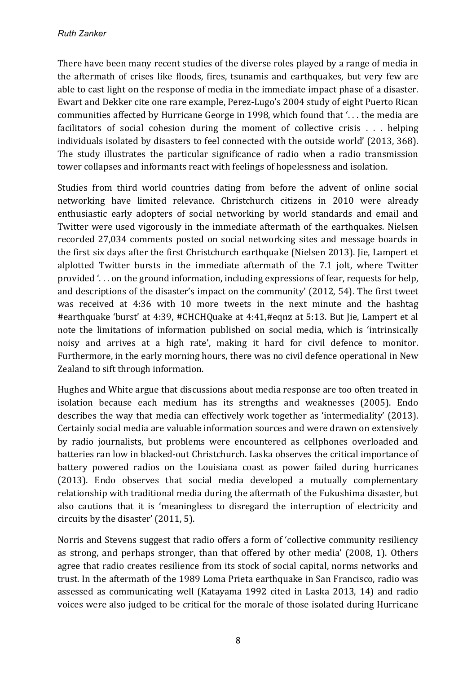There have been many recent studies of the diverse roles played by a range of media in the aftermath of crises like floods, fires, tsunamis and earthquakes, but very few are able to cast light on the response of media in the immediate impact phase of a disaster. Ewart and Dekker cite one rare example, Perez-Lugo's 2004 study of eight Puerto Rican communities affected by Hurricane George in 1998, which found that  $\ldots$  the media are facilitators of social cohesion during the moment of collective crisis  $\ldots$  helping individuals isolated by disasters to feel connected with the outside world' (2013, 368). The study illustrates the particular significance of radio when a radio transmission tower collapses and informants react with feelings of hopelessness and isolation.

Studies from third world countries dating from before the advent of online social networking have limited relevance. Christchurch citizens in 2010 were already enthusiastic early adopters of social networking by world standards and email and Twitter were used vigorously in the immediate aftermath of the earthquakes. Nielsen recorded 27,034 comments posted on social networking sites and message boards in the first six days after the first Christchurch earthquake (Nielsen 2013). Jie, Lampert et alplotted Twitter bursts in the immediate aftermath of the 7.1 jolt, where Twitter provided  $\ldots$  on the ground information, including expressions of fear, requests for help, and descriptions of the disaster's impact on the community' (2012, 54). The first tweet was received at 4:36 with 10 more tweets in the next minute and the hashtag #earthquake 'burst' at 4:39, #CHCHQuake at 4:41,#eqnz at 5:13. But Jie, Lampert et al note the limitations of information published on social media, which is 'intrinsically noisy and arrives at a high rate', making it hard for civil defence to monitor. Furthermore, in the early morning hours, there was no civil defence operational in New Zealand to sift through information.

Hughes and White argue that discussions about media response are too often treated in isolation because each medium has its strengths and weaknesses (2005). Endo describes the way that media can effectively work together as 'intermediality' (2013). Certainly social media are valuable information sources and were drawn on extensively by radio journalists, but problems were encountered as cellphones overloaded and batteries ran low in blacked-out Christchurch. Laska observes the critical importance of battery powered radios on the Louisiana coast as power failed during hurricanes (2013). Endo observes that social media developed a mutually complementary relationship with traditional media during the aftermath of the Fukushima disaster, but also cautions that it is 'meaningless to disregard the interruption of electricity and circuits by the disaster' (2011, 5).

Norris and Stevens suggest that radio offers a form of 'collective community resiliency as strong, and perhaps stronger, than that offered by other media' (2008, 1). Others agree that radio creates resilience from its stock of social capital, norms networks and trust. In the aftermath of the 1989 Loma Prieta earthquake in San Francisco, radio was assessed as communicating well (Katayama 1992 cited in Laska 2013, 14) and radio voices were also judged to be critical for the morale of those isolated during Hurricane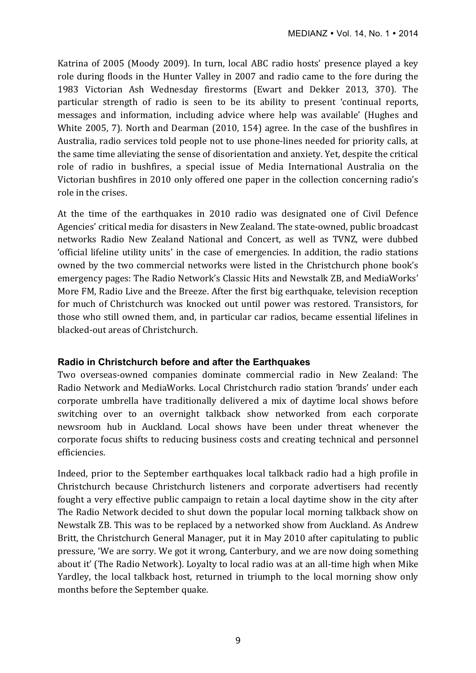Katrina of 2005 (Moody 2009). In turn, local ABC radio hosts' presence played a key role during floods in the Hunter Valley in 2007 and radio came to the fore during the 1983 Victorian Ash Wednesday firestorms (Ewart and Dekker 2013, 370). The particular strength of radio is seen to be its ability to present 'continual reports, messages and information, including advice where help was available' (Hughes and White 2005, 7). North and Dearman (2010, 154) agree. In the case of the bushfires in Australia, radio services told people not to use phone-lines needed for priority calls, at the same time alleviating the sense of disorientation and anxiety. Yet, despite the critical role of radio in bushfires, a special issue of Media International Australia on the Victorian bushfires in 2010 only offered one paper in the collection concerning radio's role in the crises.

At the time of the earthquakes in 2010 radio was designated one of Civil Defence Agencies' critical media for disasters in New Zealand. The state-owned, public broadcast networks Radio New Zealand National and Concert, as well as TVNZ, were dubbed 'official lifeline utility units' in the case of emergencies. In addition, the radio stations owned by the two commercial networks were listed in the Christchurch phone book's emergency pages: The Radio Network's Classic Hits and Newstalk ZB, and MediaWorks' More FM, Radio Live and the Breeze. After the first big earthquake, television reception for much of Christchurch was knocked out until power was restored. Transistors, for those who still owned them, and, in particular car radios, became essential lifelines in blacked-out areas of Christchurch.

### **Radio in Christchurch before and after the Earthquakes**

Two overseas-owned companies dominate commercial radio in New Zealand: The Radio Network and MediaWorks. Local Christchurch radio station 'brands' under each corporate umbrella have traditionally delivered a mix of daytime local shows before switching over to an overnight talkback show networked from each corporate newsroom hub in Auckland. Local shows have been under threat whenever the corporate focus shifts to reducing business costs and creating technical and personnel efficiencies. 

Indeed, prior to the September earthquakes local talkback radio had a high profile in Christchurch because Christchurch listeners and corporate advertisers had recently fought a very effective public campaign to retain a local daytime show in the city after The Radio Network decided to shut down the popular local morning talkback show on Newstalk ZB. This was to be replaced by a networked show from Auckland. As Andrew Britt, the Christchurch General Manager, put it in May 2010 after capitulating to public pressure, 'We are sorry. We got it wrong, Canterbury, and we are now doing something about it' (The Radio Network). Loyalty to local radio was at an all-time high when Mike Yardley, the local talkback host, returned in triumph to the local morning show only months before the September quake.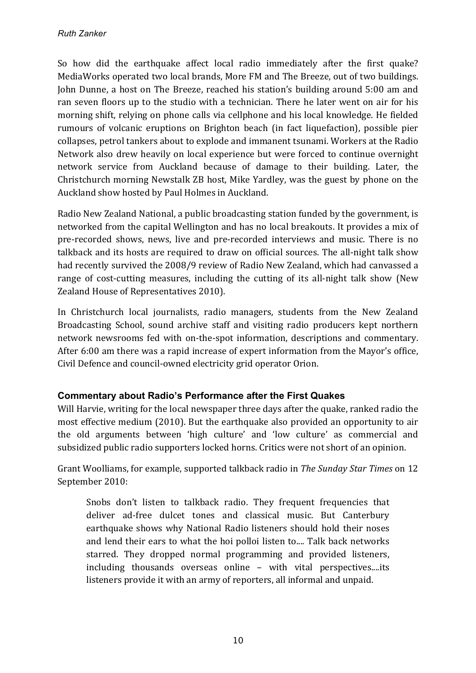So how did the earthquake affect local radio immediately after the first quake? MediaWorks operated two local brands, More FM and The Breeze, out of two buildings. John Dunne, a host on The Breeze, reached his station's building around 5:00 am and ran seven floors up to the studio with a technician. There he later went on air for his morning shift, relying on phone calls via cellphone and his local knowledge. He fielded rumours of volcanic eruptions on Brighton beach (in fact liquefaction), possible pier collapses, petrol tankers about to explode and immanent tsunami. Workers at the Radio Network also drew heavily on local experience but were forced to continue overnight network service from Auckland because of damage to their building. Later, the Christchurch morning Newstalk ZB host, Mike Yardley, was the guest by phone on the Auckland show hosted by Paul Holmes in Auckland.

Radio New Zealand National, a public broadcasting station funded by the government, is networked from the capital Wellington and has no local breakouts. It provides a mix of pre-recorded shows, news, live and pre-recorded interviews and music. There is no talkback and its hosts are required to draw on official sources. The all-night talk show had recently survived the 2008/9 review of Radio New Zealand, which had canvassed a range of cost-cutting measures, including the cutting of its all-night talk show (New Zealand House of Representatives 2010).

In Christchurch local journalists, radio managers, students from the New Zealand Broadcasting School, sound archive staff and visiting radio producers kept northern network newsrooms fed with on-the-spot information, descriptions and commentary. After 6:00 am there was a rapid increase of expert information from the Mayor's office, Civil Defence and council-owned electricity grid operator Orion.

### **Commentary about Radio's Performance after the First Quakes**

Will Harvie, writing for the local newspaper three days after the quake, ranked radio the most effective medium (2010). But the earthquake also provided an opportunity to air the old arguments between 'high culture' and 'low culture' as commercial and subsidized public radio supporters locked horns. Critics were not short of an opinion.

Grant Woolliams, for example, supported talkback radio in *The Sunday Star Times* on 12 September 2010:

Snobs don't listen to talkback radio. They frequent frequencies that deliver ad-free dulcet tones and classical music. But Canterbury earthquake shows why National Radio listeners should hold their noses and lend their ears to what the hoi polloi listen to.... Talk back networks starred. They dropped normal programming and provided listeners, including thousands overseas online - with vital perspectives....its listeners provide it with an army of reporters, all informal and unpaid.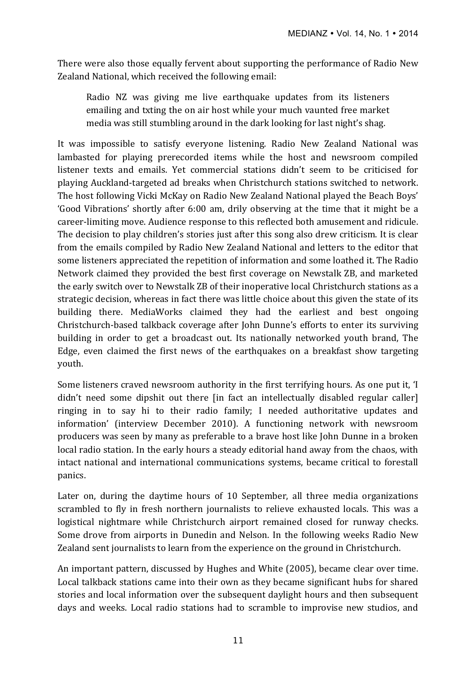There were also those equally fervent about supporting the performance of Radio New Zealand National, which received the following email:

Radio NZ was giving me live earthquake updates from its listeners emailing and txting the on air host while your much vaunted free market media was still stumbling around in the dark looking for last night's shag.

It was impossible to satisfy everyone listening. Radio New Zealand National was lambasted for playing prerecorded items while the host and newsroom compiled listener texts and emails. Yet commercial stations didn't seem to be criticised for playing Auckland-targeted ad breaks when Christchurch stations switched to network. The host following Vicki McKay on Radio New Zealand National played the Beach Boys' 'Good Vibrations' shortly after 6:00 am, drily observing at the time that it might be a career-limiting move. Audience response to this reflected both amusement and ridicule. The decision to play children's stories just after this song also drew criticism. It is clear from the emails compiled by Radio New Zealand National and letters to the editor that some listeners appreciated the repetition of information and some loathed it. The Radio Network claimed they provided the best first coverage on Newstalk ZB, and marketed the early switch over to Newstalk ZB of their inoperative local Christchurch stations as a strategic decision, whereas in fact there was little choice about this given the state of its building there. MediaWorks claimed they had the earliest and best ongoing Christchurch-based talkback coverage after John Dunne's efforts to enter its surviving building in order to get a broadcast out. Its nationally networked youth brand, The Edge, even claimed the first news of the earthquakes on a breakfast show targeting youth. 

Some listeners craved newsroom authority in the first terrifying hours. As one put it, 'I didn't need some dipshit out there [in fact an intellectually disabled regular caller] ringing in to say hi to their radio family; I needed authoritative updates and information' (interview December 2010). A functioning network with newsroom producers was seen by many as preferable to a brave host like John Dunne in a broken local radio station. In the early hours a steady editorial hand away from the chaos, with intact national and international communications systems, became critical to forestall panics.

Later on, during the daytime hours of 10 September, all three media organizations scrambled to fly in fresh northern journalists to relieve exhausted locals. This was a logistical nightmare while Christchurch airport remained closed for runway checks. Some drove from airports in Dunedin and Nelson. In the following weeks Radio New Zealand sent journalists to learn from the experience on the ground in Christchurch.

An important pattern, discussed by Hughes and White (2005), became clear over time. Local talkback stations came into their own as they became significant hubs for shared stories and local information over the subsequent daylight hours and then subsequent days and weeks. Local radio stations had to scramble to improvise new studios, and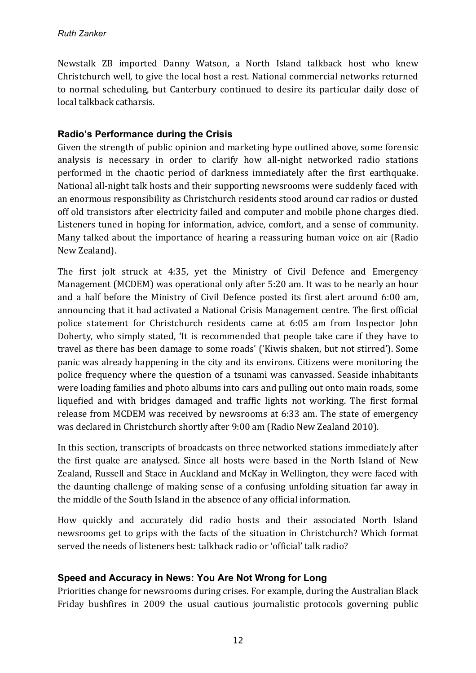Newstalk ZB imported Danny Watson, a North Island talkback host who knew Christchurch well, to give the local host a rest. National commercial networks returned to normal scheduling, but Canterbury continued to desire its particular daily dose of local talkback catharsis.

## **Radio's Performance during the Crisis**

Given the strength of public opinion and marketing hype outlined above, some forensic analysis is necessary in order to clarify how all-night networked radio stations performed in the chaotic period of darkness immediately after the first earthquake. National all-night talk hosts and their supporting newsrooms were suddenly faced with an enormous responsibility as Christchurch residents stood around car radios or dusted off old transistors after electricity failed and computer and mobile phone charges died. Listeners tuned in hoping for information, advice, comfort, and a sense of community. Many talked about the importance of hearing a reassuring human voice on air (Radio New Zealand). 

The first jolt struck at 4:35, yet the Ministry of Civil Defence and Emergency Management (MCDEM) was operational only after 5:20 am. It was to be nearly an hour and a half before the Ministry of Civil Defence posted its first alert around 6:00 am, announcing that it had activated a National Crisis Management centre. The first official police statement for Christchurch residents came at 6:05 am from Inspector John Doherty, who simply stated, 'It is recommended that people take care if they have to travel as there has been damage to some roads' ('Kiwis shaken, but not stirred'). Some panic was already happening in the city and its environs. Citizens were monitoring the police frequency where the question of a tsunami was canvassed. Seaside inhabitants were loading families and photo albums into cars and pulling out onto main roads, some liquefied and with bridges damaged and traffic lights not working. The first formal release from MCDEM was received by newsrooms at 6:33 am. The state of emergency was declared in Christchurch shortly after 9:00 am (Radio New Zealand 2010).

In this section, transcripts of broadcasts on three networked stations immediately after the first quake are analysed. Since all hosts were based in the North Island of New Zealand, Russell and Stace in Auckland and McKay in Wellington, they were faced with the daunting challenge of making sense of a confusing unfolding situation far away in the middle of the South Island in the absence of any official information.

How quickly and accurately did radio hosts and their associated North Island newsrooms get to grips with the facts of the situation in Christchurch? Which format served the needs of listeners best: talkback radio or 'official' talk radio?

### **Speed and Accuracy in News: You Are Not Wrong for Long**

Priorities change for newsrooms during crises. For example, during the Australian Black Friday bushfires in 2009 the usual cautious journalistic protocols governing public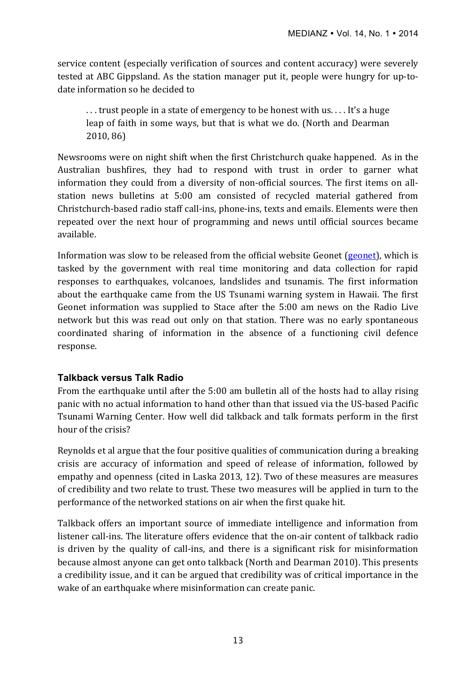service content (especially verification of sources and content accuracy) were severely tested at ABC Gippsland. As the station manager put it, people were hungry for up-todate information so he decided to

... trust people in a state of emergency to be honest with us.... It's a huge leap of faith in some ways, but that is what we do. (North and Dearman 2010, 86)

Newsrooms were on night shift when the first Christchurch quake happened. As in the Australian bushfires, they had to respond with trust in order to garner what information they could from a diversity of non-official sources. The first items on allstation news bulletins at 5:00 am consisted of recycled material gathered from Christchurch-based radio staff call-ins, phone-ins, texts and emails. Elements were then repeated over the next hour of programming and news until official sources became available. 

Information was slow to be released from the official website Geonet  $(g\text{eonet})$ , which is tasked by the government with real time monitoring and data collection for rapid responses to earthquakes, volcanoes, landslides and tsunamis. The first information about the earthquake came from the US Tsunami warning system in Hawaii. The first Geonet information was supplied to Stace after the  $5:00$  am news on the Radio Live network but this was read out only on that station. There was no early spontaneous coordinated sharing of information in the absence of a functioning civil defence response. 

### **Talkback versus Talk Radio**

From the earthquake until after the 5:00 am bulletin all of the hosts had to allay rising panic with no actual information to hand other than that issued via the US-based Pacific Tsunami Warning Center. How well did talkback and talk formats perform in the first hour of the crisis?

Reynolds et al argue that the four positive qualities of communication during a breaking crisis are accuracy of information and speed of release of information, followed by empathy and openness (cited in Laska 2013, 12). Two of these measures are measures of credibility and two relate to trust. These two measures will be applied in turn to the performance of the networked stations on air when the first quake hit.

Talkback offers an important source of immediate intelligence and information from listener call-ins. The literature offers evidence that the on-air content of talkback radio is driven by the quality of call-ins, and there is a significant risk for misinformation because almost anyone can get onto talkback (North and Dearman 2010). This presents a credibility issue, and it can be argued that credibility was of critical importance in the wake of an earthquake where misinformation can create panic.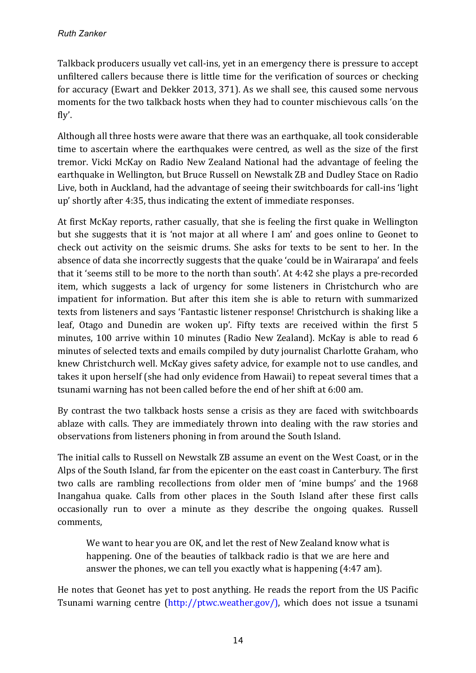Talkback producers usually vet call-ins, yet in an emergency there is pressure to accept unfiltered callers because there is little time for the verification of sources or checking for accuracy (Ewart and Dekker 2013, 371). As we shall see, this caused some nervous moments for the two talkback hosts when they had to counter mischievous calls 'on the fly'.

Although all three hosts were aware that there was an earthquake, all took considerable time to ascertain where the earthquakes were centred, as well as the size of the first tremor. Vicki McKay on Radio New Zealand National had the advantage of feeling the earthquake in Wellington, but Bruce Russell on Newstalk ZB and Dudley Stace on Radio Live, both in Auckland, had the advantage of seeing their switchboards for call-ins 'light up' shortly after 4:35, thus indicating the extent of immediate responses.

At first McKay reports, rather casually, that she is feeling the first quake in Wellington but she suggests that it is 'not major at all where I am' and goes online to Geonet to check out activity on the seismic drums. She asks for texts to be sent to her. In the absence of data she incorrectly suggests that the quake 'could be in Wairarapa' and feels that it 'seems still to be more to the north than south'. At 4:42 she plays a pre-recorded item, which suggests a lack of urgency for some listeners in Christchurch who are impatient for information. But after this item she is able to return with summarized texts from listeners and says 'Fantastic listener response! Christchurch is shaking like a leaf, Otago and Dunedin are woken up'. Fifty texts are received within the first 5 minutes, 100 arrive within 10 minutes (Radio New Zealand). McKay is able to read 6 minutes of selected texts and emails compiled by duty journalist Charlotte Graham, who knew Christchurch well. McKay gives safety advice, for example not to use candles, and takes it upon herself (she had only evidence from Hawaii) to repeat several times that a tsunami warning has not been called before the end of her shift at 6:00 am.

By contrast the two talkback hosts sense a crisis as they are faced with switchboards ablaze with calls. They are immediately thrown into dealing with the raw stories and observations from listeners phoning in from around the South Island.

The initial calls to Russell on Newstalk ZB assume an event on the West Coast, or in the Alps of the South Island, far from the epicenter on the east coast in Canterbury. The first two calls are rambling recollections from older men of 'mine bumps' and the 1968 Inangahua quake. Calls from other places in the South Island after these first calls occasionally run to over a minute as they describe the ongoing quakes. Russell comments,

We want to hear you are OK, and let the rest of New Zealand know what is happening. One of the beauties of talkback radio is that we are here and answer the phones, we can tell you exactly what is happening  $(4:47 \text{ am})$ .

He notes that Geonet has yet to post anything. He reads the report from the US Pacific Tsunami warning centre  $\frac{http://ptwc.weather.gov/)}$ , which does not issue a tsunami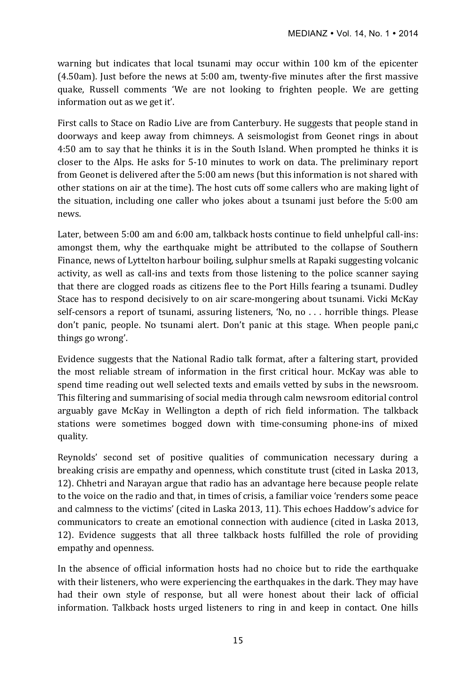warning but indicates that local tsunami may occur within 100 km of the epicenter  $(4.50am)$ . Just before the news at  $5:00$  am, twenty-five minutes after the first massive quake, Russell comments 'We are not looking to frighten people. We are getting information out as we get it'.

First calls to Stace on Radio Live are from Canterbury. He suggests that people stand in doorways and keep away from chimneys. A seismologist from Geonet rings in about 4:50 am to say that he thinks it is in the South Island. When prompted he thinks it is closer to the Alps. He asks for 5-10 minutes to work on data. The preliminary report from Geonet is delivered after the 5:00 am news (but this information is not shared with other stations on air at the time). The host cuts off some callers who are making light of the situation, including one caller who jokes about a tsunami just before the 5:00 am news. 

Later, between 5:00 am and 6:00 am, talkback hosts continue to field unhelpful call-ins: amongst them, why the earthquake might be attributed to the collapse of Southern Finance, news of Lyttelton harbour boiling, sulphur smells at Rapaki suggesting volcanic activity, as well as call-ins and texts from those listening to the police scanner saying that there are clogged roads as citizens flee to the Port Hills fearing a tsunami. Dudley Stace has to respond decisively to on air scare-mongering about tsunami. Vicki McKay self-censors a report of tsunami, assuring listeners, 'No, no . . . horrible things. Please don't panic, people. No tsunami alert. Don't panic at this stage. When people pani,c things go wrong'.

Evidence suggests that the National Radio talk format, after a faltering start, provided the most reliable stream of information in the first critical hour. McKay was able to spend time reading out well selected texts and emails vetted by subs in the newsroom. This filtering and summarising of social media through calm newsroom editorial control arguably gave McKay in Wellington a depth of rich field information. The talkback stations were sometimes bogged down with time-consuming phone-ins of mixed quality. 

Reynolds' second set of positive qualities of communication necessary during a breaking crisis are empathy and openness, which constitute trust (cited in Laska 2013, 12). Chhetri and Narayan argue that radio has an advantage here because people relate to the voice on the radio and that, in times of crisis, a familiar voice 'renders some peace and calmness to the victims' (cited in Laska 2013, 11). This echoes Haddow's advice for communicators to create an emotional connection with audience (cited in Laska 2013, 12). Evidence suggests that all three talkback hosts fulfilled the role of providing empathy and openness.

In the absence of official information hosts had no choice but to ride the earthquake with their listeners, who were experiencing the earthquakes in the dark. They may have had their own style of response, but all were honest about their lack of official information. Talkback hosts urged listeners to ring in and keep in contact. One hills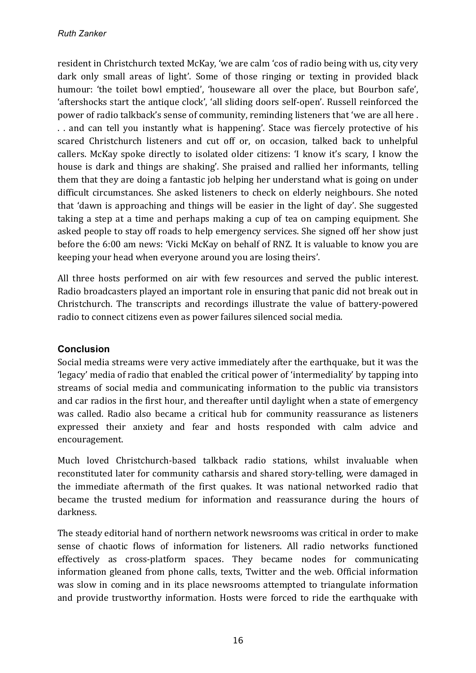resident in Christchurch texted McKay, 'we are calm 'cos of radio being with us, city very dark only small areas of light'. Some of those ringing or texting in provided black humour: 'the toilet bowl emptied', 'houseware all over the place, but Bourbon safe', 'aftershocks start the antique clock', 'all sliding doors self-open'. Russell reinforced the power of radio talkback's sense of community, reminding listeners that 'we are all here. .. and can tell you instantly what is happening'. Stace was fiercely protective of his scared Christchurch listeners and cut off or, on occasion, talked back to unhelpful callers. McKay spoke directly to isolated older citizens: 'I know it's scary, I know the house is dark and things are shaking'. She praised and rallied her informants, telling them that they are doing a fantastic job helping her understand what is going on under difficult circumstances. She asked listeners to check on elderly neighbours. She noted that 'dawn is approaching and things will be easier in the light of day'. She suggested taking a step at a time and perhaps making a cup of tea on camping equipment. She asked people to stay off roads to help emergency services. She signed off her show just before the 6:00 am news: 'Vicki McKay on behalf of RNZ. It is valuable to know you are keeping your head when everyone around you are losing theirs'.

All three hosts performed on air with few resources and served the public interest. Radio broadcasters played an important role in ensuring that panic did not break out in Christchurch. The transcripts and recordings illustrate the value of battery-powered radio to connect citizens even as power failures silenced social media.

# **Conclusion**

Social media streams were very active immediately after the earthquake, but it was the 'legacy' media of radio that enabled the critical power of 'intermediality' by tapping into streams of social media and communicating information to the public via transistors and car radios in the first hour, and thereafter until daylight when a state of emergency was called. Radio also became a critical hub for community reassurance as listeners expressed their anxiety and fear and hosts responded with calm advice and encouragement. 

Much loved Christchurch-based talkback radio stations, whilst invaluable when reconstituted later for community catharsis and shared story-telling, were damaged in the immediate aftermath of the first quakes. It was national networked radio that became the trusted medium for information and reassurance during the hours of darkness. 

The steady editorial hand of northern network newsrooms was critical in order to make sense of chaotic flows of information for listeners. All radio networks functioned effectively as cross-platform spaces. They became nodes for communicating information gleaned from phone calls, texts, Twitter and the web. Official information was slow in coming and in its place newsrooms attempted to triangulate information and provide trustworthy information. Hosts were forced to ride the earthquake with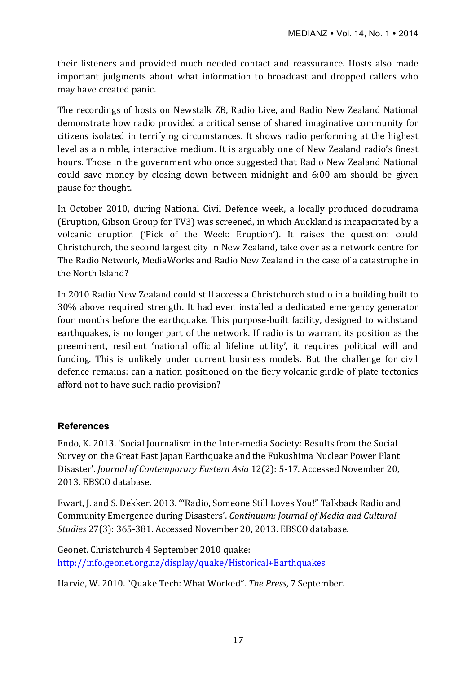their listeners and provided much needed contact and reassurance. Hosts also made important judgments about what information to broadcast and dropped callers who may have created panic.

The recordings of hosts on Newstalk ZB, Radio Live, and Radio New Zealand National demonstrate how radio provided a critical sense of shared imaginative community for citizens isolated in terrifying circumstances. It shows radio performing at the highest level as a nimble, interactive medium. It is arguably one of New Zealand radio's finest hours. Those in the government who once suggested that Radio New Zealand National could save money by closing down between midnight and 6:00 am should be given pause for thought.

In October 2010, during National Civil Defence week, a locally produced docudrama (Eruption, Gibson Group for TV3) was screened, in which Auckland is incapacitated by a volcanic eruption ('Pick of the Week: Eruption'). It raises the question: could Christchurch, the second largest city in New Zealand, take over as a network centre for The Radio Network, MediaWorks and Radio New Zealand in the case of a catastrophe in the North Island?

In 2010 Radio New Zealand could still access a Christchurch studio in a building built to 30% above required strength. It had even installed a dedicated emergency generator four months before the earthquake. This purpose-built facility, designed to withstand earthquakes, is no longer part of the network. If radio is to warrant its position as the preeminent, resilient 'national official lifeline utility', it requires political will and funding. This is unlikely under current business models. But the challenge for civil defence remains: can a nation positioned on the fiery volcanic girdle of plate tectonics afford not to have such radio provision?

### **References**

Endo, K. 2013. 'Social Journalism in the Inter-media Society: Results from the Social Survey on the Great East Japan Earthquake and the Fukushima Nuclear Power Plant Disaster'. *Journal of Contemporary Eastern Asia* 12(2): 5-17. Accessed November 20, 2013. EBSCO database.

Ewart, J. and S. Dekker. 2013. "'Radio, Someone Still Loves You!" Talkback Radio and Community Emergence during Disasters'. *Continuum: Journal of Media and Cultural Studies* 27(3): 365-381. Accessed November 20, 2013. EBSCO database.

Geonet. Christchurch 4 September 2010 quake: http://info.geonet.org.nz/display/quake/Historical+Earthquakes

Harvie, W. 2010. "Quake Tech: What Worked". The Press, 7 September.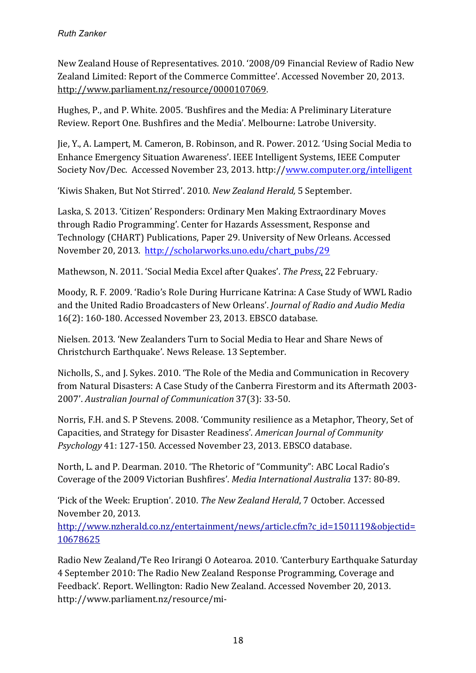New Zealand House of Representatives. 2010. '2008/09 Financial Review of Radio New Zealand Limited: Report of the Commerce Committee'. Accessed November 20, 2013. http://www.parliament.nz/resource/0000107069.

Hughes, P., and P. White. 2005. 'Bushfires and the Media: A Preliminary Literature Review. Report One. Bushfires and the Media'. Melbourne: Latrobe University.

Jie, Y., A. Lampert, M. Cameron, B. Robinson, and R. Power. 2012. 'Using Social Media to Enhance Emergency Situation Awareness'. IEEE Intelligent Systems, IEEE Computer Society Nov/Dec. Accessed November 23, 2013. http://www.computer.org/intelligent

'Kiwis Shaken, But Not Stirred'. 2010. *New Zealand Herald*, 5 September.

Laska, S. 2013. 'Citizen' Responders: Ordinary Men Making Extraordinary Moves through Radio Programming'. Center for Hazards Assessment, Response and Technology (CHART) Publications, Paper 29. University of New Orleans. Accessed November 20, 2013. http://scholarworks.uno.edu/chart\_pubs/29

Mathewson, N. 2011. 'Social Media Excel after Quakes'. The Press, 22 February.

Moody. R. F. 2009. 'Radio's Role During Hurricane Katrina: A Case Study of WWL Radio and the United Radio Broadcasters of New Orleans'. *Journal of Radio and Audio Media* 16(2): 160-180. Accessed November 23, 2013. EBSCO database.

Nielsen. 2013. 'New Zealanders Turn to Social Media to Hear and Share News of Christchurch Earthquake'. News Release. 13 September.

Nicholls, S., and J. Sykes. 2010. 'The Role of the Media and Communication in Recovery from Natural Disasters: A Case Study of the Canberra Firestorm and its Aftermath 2003-2007'. *Australian Journal of Communication* 37(3): 33-50. 

Norris, F.H. and S. P Stevens. 2008. 'Community resilience as a Metaphor, Theory, Set of Capacities, and Strategy for Disaster Readiness'. *American Journal of Community* Psychology 41: 127-150. Accessed November 23, 2013. EBSCO database.

North, L. and P. Dearman. 2010. 'The Rhetoric of "Community": ABC Local Radio's Coverage of the 2009 Victorian Bushfires'. *Media International Australia* 137: 80-89.

'Pick of the Week: Eruption'. 2010. *The New Zealand Herald*, 7 October. Accessed November 20, 2013. 

http://www.nzherald.co.nz/entertainment/news/article.cfm?c\_id=1501119&objectid= 10678625

Radio New Zealand/Te Reo Irirangi O Aotearoa. 2010. 'Canterbury Earthquake Saturday 4 September 2010: The Radio New Zealand Response Programming, Coverage and Feedback'. Report. Wellington: Radio New Zealand. Accessed November 20, 2013. http://www.parliament.nz/resource/mi